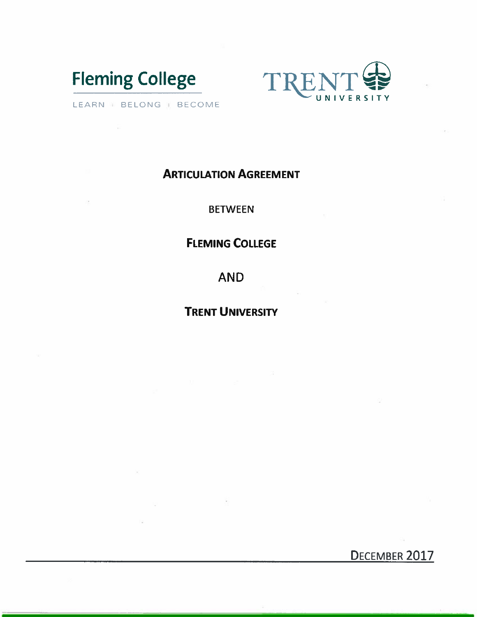



LEARN III BELONG | BECOME

## **ARTICULATION AGREEMENT**

**BETWEEN** 

# **FLEMING COLLEGE**

**AND** 

# **TRENT UNIVERSITY**

DECEMBER 2017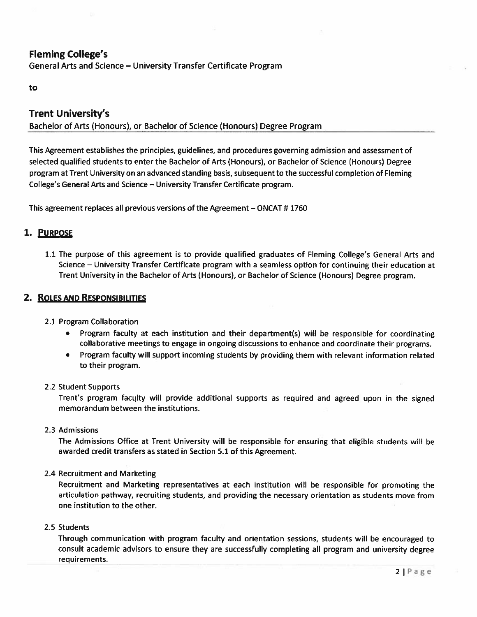### **Fleming College's**

General Arts and Science - University Transfer Certificate Program

#### to

### **Trent University's**

Bachelor of Arts (Honours), or Bachelor of Science (Honours) Degree Program

This Agreement establishes the principles, guidelines, and procedures governing admission and assessment of selected qualified students to enter the Bachelor of Arts (Honours), or Bachelor of Science (Honours) Degree program at Trent University on an advanced standing basis, subsequent to the successful completion of Fleming College's General Arts and Science - University Transfer Certificate program.

This agreement replaces all previous versions of the Agreement – ONCAT #1760

#### 1. PURPOSE

1.1 The purpose of this agreement is to provide qualified graduates of Fleming College's General Arts and Science – University Transfer Certificate program with a seamless option for continuing their education at Trent University in the Bachelor of Arts (Honours), or Bachelor of Science (Honours) Degree program.

#### 2. ROLES AND RESPONSIBILITIES

#### 2.1 Program Collaboration

- Program faculty at each institution and their department(s) will be responsible for coordinating collaborative meetings to engage in ongoing discussions to enhance and coordinate their programs.
- Program faculty will support incoming students by providing them with relevant information related to their program.

#### 2.2 Student Supports

Trent's program faculty will provide additional supports as required and agreed upon in the signed memorandum between the institutions.

2.3 Admissions

The Admissions Office at Trent University will be responsible for ensuring that eligible students will be awarded credit transfers as stated in Section 5.1 of this Agreement.

#### 2.4 Recruitment and Marketing

Recruitment and Marketing representatives at each institution will be responsible for promoting the articulation pathway, recruiting students, and providing the necessary orientation as students move from one institution to the other.

#### 2.5 Students

Through communication with program faculty and orientation sessions, students will be encouraged to consult academic advisors to ensure they are successfully completing all program and university degree requirements.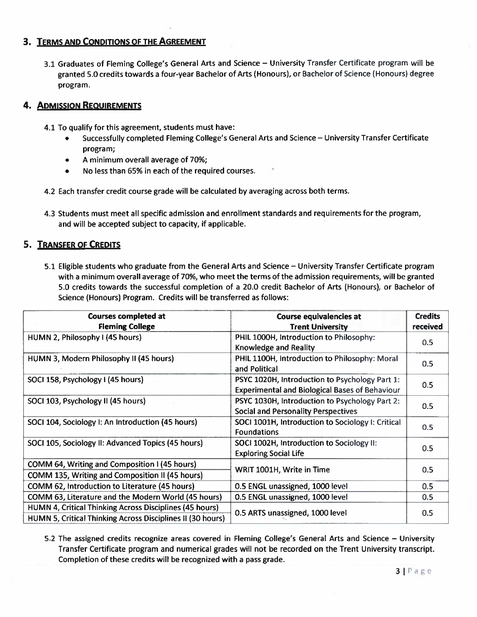#### 3. TERMS AND CONDITIONS OF THE AGREEMENT

3.1 Graduates of Fleming College's General Arts and Science - University Transfer Certificate program will be granted 5.0 credits towards a four-year Bachelor of Arts (Honours), or Bachelor of Science (Honours) degree program.

#### **4. ADMISSION REQUIREMENTS**

- 4.1 To qualify for this agreement, students must have:
	- Successfully completed Fleming College's General Arts and Science University Transfer Certificate program;
	- A minimum overall average of 70%;
	- No less than 65% in each of the required courses.
- 4.2 Each transfer credit course grade will be calculated by averaging across both terms.
- 4.3 Students must meet all specific admission and enrollment standards and requirements for the program, and will be accepted subject to capacity, if applicable.

### 5. TRANSFER OF CREDITS

5.1 Eligible students who graduate from the General Arts and Science - University Transfer Certificate program with a minimum overall average of 70%, who meet the terms of the admission requirements, will be granted 5.0 credits towards the successful completion of a 20.0 credit Bachelor of Arts (Honours), or Bachelor of Science (Honours) Program. Credits will be transferred as follows:

| <b>Courses completed at</b><br><b>Fleming College</b>                                                                 | <b>Course equivalencies at</b><br><b>Trent University</b>                                               | <b>Credits</b><br>received |
|-----------------------------------------------------------------------------------------------------------------------|---------------------------------------------------------------------------------------------------------|----------------------------|
| HUMN 2, Philosophy I (45 hours)                                                                                       | PHIL 1000H, Introduction to Philosophy:<br>Knowledge and Reality                                        | 0.5                        |
| HUMN 3, Modern Philosophy II (45 hours)                                                                               | PHIL 1100H, Introduction to Philosophy: Moral<br>and Political                                          | 0.5                        |
| SOCI 158, Psychology I (45 hours)                                                                                     | PSYC 1020H, Introduction to Psychology Part 1:<br><b>Experimental and Biological Bases of Behaviour</b> | 0.5                        |
| SOCI 103, Psychology II (45 hours)                                                                                    | PSYC 1030H, Introduction to Psychology Part 2:<br><b>Social and Personality Perspectives</b>            | 0.5                        |
| SOCI 104, Sociology I: An Introduction (45 hours)                                                                     | SOCI 1001H, Introduction to Sociology I: Critical<br><b>Foundations</b>                                 | 0.5                        |
| SOCI 105, Sociology II: Advanced Topics (45 hours)                                                                    | SOCI 1002H, Introduction to Sociology II:<br><b>Exploring Social Life</b>                               | 0.5                        |
| COMM 64, Writing and Composition I (45 hours)<br>COMM 135, Writing and Composition II (45 hours)                      | WRIT 1001H, Write in Time                                                                               | 0.5                        |
| COMM 62, Introduction to Literature (45 hours)                                                                        | 0.5 ENGL unassigned, 1000 level                                                                         | 0.5                        |
| COMM 63, Literature and the Modern World (45 hours)                                                                   | 0.5 ENGL unassigned, 1000 level                                                                         | 0.5                        |
| HUMN 4, Critical Thinking Across Disciplines (45 hours)<br>HUMN 5, Critical Thinking Across Disciplines II (30 hours) | 0.5 ARTS unassigned, 1000 level                                                                         | 0.5                        |

5.2 The assigned credits recognize areas covered in Fleming College's General Arts and Science - University Transfer Certificate program and numerical grades will not be recorded on the Trent University transcript. Completion of these credits will be recognized with a pass grade.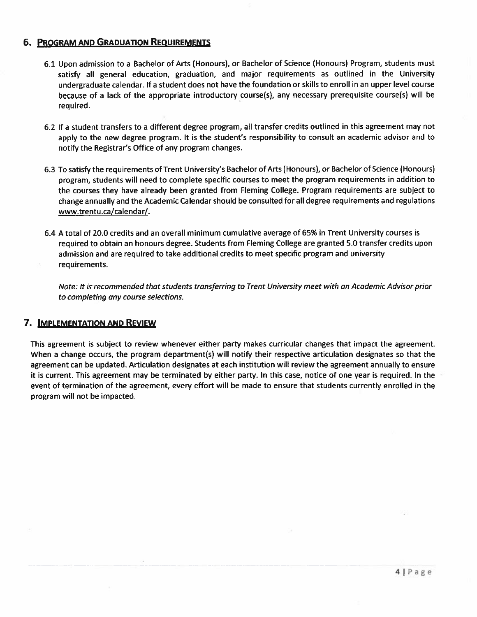#### **6. PROGRAM AND GRADUATION REQUIREMENTS**

- 6.1 Upon admission to a Bachelor of Arts (Honours), or Bachelor of Science (Honours) Program, students must satisfy all general education, graduation, and major requirements as outlined in the University undergraduate calendar. If a student does not have the foundation or skills to enroll in an upper level course because of a lack of the appropriate introductory course(s), any necessary prerequisite course(s) will be required.
- 6.2 If a student transfers to a different degree program, all transfer credits outlined in this agreement may not apply to the new degree program. It is the student's responsibility to consult an academic advisor and to notify the Registrar's Office of any program changes.
- 6.3 To satisfy the requirements of Trent University's Bachelor of Arts (Honours), or Bachelor of Science (Honours) program, students will need to complete specific courses to meet the program requirements in addition to the courses they have already been granted from Fleming College. Program requirements are subject to change annually and the Academic Calendar should be consulted for all degree requirements and regulations www.trentu.ca/calendar/.
- 6.4 A total of 20.0 credits and an overall minimum cumulative average of 65% in Trent University courses is required to obtain an honours degree. Students from Fleming College are granted 5.0 transfer credits upon admission and are required to take additional credits to meet specific program and university requirements.

Note: It is recommended that students transferring to Trent University meet with an Academic Advisor prior to completing any course selections.

#### 7. IMPLEMENTATION AND REVIEW

This agreement is subject to review whenever either party makes curricular changes that impact the agreement. When a change occurs, the program department(s) will notify their respective articulation designates so that the agreement can be updated. Articulation designates at each institution will review the agreement annually to ensure it is current. This agreement may be terminated by either party. In this case, notice of one year is required. In the event of termination of the agreement, every effort will be made to ensure that students currently enrolled in the program will not be impacted.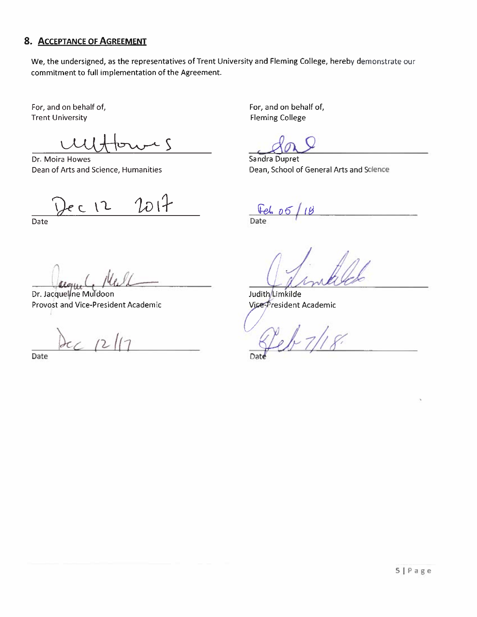## 8. ACCEPTANCE OF AGREEMENT

We, the undersigned, as the representatives of Trent University and Fleming College, hereby demonstrate our commitment to full implementation of the Agreement.

For, and on behalf of, **Trent University** 

 $\zeta$ 

Dr. Moira Howes Dean of Arts and Science, Humanities

 $2017$  $e \in 12$ 

Date

Dr. Jacqueline Muldoon Provost and Vice-President Academic

 $\epsilon$ 

Date

For, and on behalf of, **Fleming College** 

**Sandra Dupret** Dean, School of General Arts and Science

<u> Hel</u> Date

Judith/Limkilde Vice-President Academic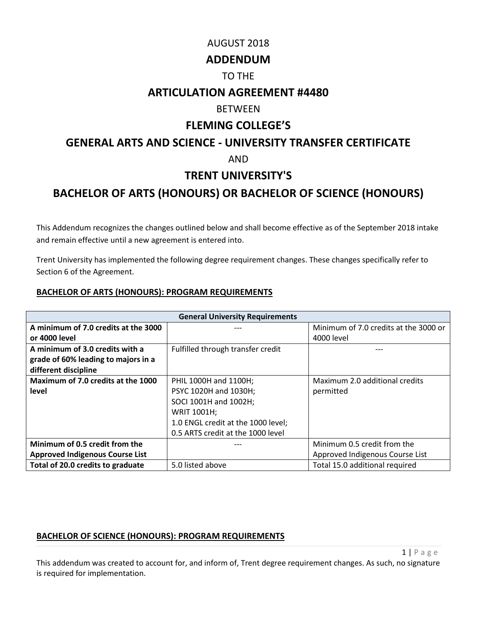## AUGUST 2018

## **ADDENDUM**

## TO THE

## **ARTICULATION AGREEMENT #4480**

## **BETWEEN**

## **FLEMING COLLEGE'S**

## **GENERAL ARTS AND SCIENCE - UNIVERSITY TRANSFER CERTIFICATE**

## AND

## **TRENT UNIVERSITY'S**

## **BACHELOR OF ARTS (HONOURS) OR BACHELOR OF SCIENCE (HONOURS)**

This Addendum recognizes the changes outlined below and shall become effective as of the September 2018 intake and remain effective until a new agreement is entered into.

Trent University has implemented the following degree requirement changes. These changes specifically refer to Section 6 of the Agreement.

### **BACHELOR OF ARTS (HONOURS): PROGRAM REQUIREMENTS**

| <b>General University Requirements</b> |                                    |                                       |  |
|----------------------------------------|------------------------------------|---------------------------------------|--|
| A minimum of 7.0 credits at the 3000   |                                    | Minimum of 7.0 credits at the 3000 or |  |
| or 4000 level                          |                                    | 4000 level                            |  |
| A minimum of 3.0 credits with a        | Fulfilled through transfer credit  |                                       |  |
| grade of 60% leading to majors in a    |                                    |                                       |  |
| different discipline                   |                                    |                                       |  |
| Maximum of 7.0 credits at the 1000     | PHIL 1000H and 1100H;              | Maximum 2.0 additional credits        |  |
| level                                  | PSYC 1020H and 1030H;              | permitted                             |  |
|                                        | SOCI 1001H and 1002H;              |                                       |  |
|                                        | WRIT 1001H;                        |                                       |  |
|                                        | 1.0 ENGL credit at the 1000 level; |                                       |  |
|                                        | 0.5 ARTS credit at the 1000 level  |                                       |  |
| Minimum of 0.5 credit from the         |                                    | Minimum 0.5 credit from the           |  |
| <b>Approved Indigenous Course List</b> |                                    | Approved Indigenous Course List       |  |
| Total of 20.0 credits to graduate      | 5.0 listed above                   | Total 15.0 additional required        |  |

## **BACHELOR OF SCIENCE (HONOURS): PROGRAM REQUIREMENTS**